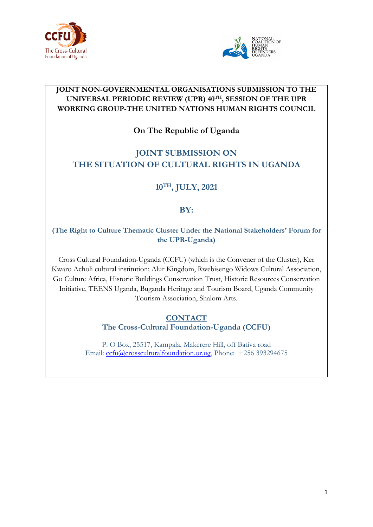



### **JOINT NON-GOVERNMENTAL ORGANISATIONS SUBMISSION TO THE UNIVERSAL PERIODIC REVIEW (UPR) <sup>40</sup>TH , SESSION OF THE UPR WORKING GROUP-THE UNITED NATIONS HUMAN RIGHTS COUNCIL**

## **On The Republic of Uganda**

# **JOINT SUBMISSION ON THE SITUATION OF CULTURAL RIGHTS IN UGANDA**

## **10TH , JULY, 2021**

## **BY:**

**(The Right to Culture Thematic Cluster Under the National Stakeholders' Forum for the UPR-Uganda)**

Cross Cultural Foundation-Uganda (CCFU) (which is the Convener of the Cluster), Ker Kwaro Acholi cultural institution; Alur Kingdom, Rwebisengo Widows Cultural Association, Go Culture Africa, Historic Buildings Conservation Trust, Historic Resources Conservation Initiative, TEENS Uganda, Buganda Heritage and Tourism Board, Uganda Community Tourism Association, Shalom Arts.

#### **CONTACT The Cross-Cultural Foundation-Uganda (CCFU)**

P. O Box, 25517, Kampala, Makerere Hill, off Bativa road Email: [ccfu@crossculturalfoundation.or.ug](mailto:ccfu@crossculturalfoundation.or.ug), Phone: +256 393294675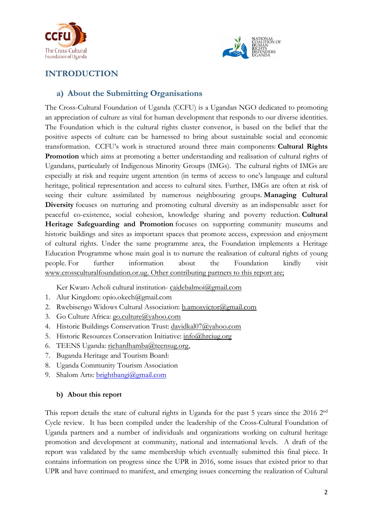



## **INTRODUCTION**

#### **a) About the Submitting Organisations**

The Cross-Cultural Foundation of Uganda (CCFU) is <sup>a</sup> Ugandan NGO dedicated to promoting an appreciation of culture as vital for human development that responds to our diverse identities. The Foundation which is the cultural rights cluster convenor, is based on the belief that the positive aspects of culture can be harnessed to bring about sustainable social and economic transformation. CCFU'<sup>s</sup> work is structured around three main components: **Cultural Rights Promotion** which aims at promoting <sup>a</sup> better understanding and realisation of cultural rights of Ugandans, particularly of Indigenous Minority Groups (IMGs). The cultural rights of IMGs are especially at risk and require urgent attention (in terms of access to one'<sup>s</sup> language and cultural heritage, political representation and access to cultural sites. Further, IMGs are often at risk of seeing their culture assimilated by numerous neighbouring groups. **Managing Cultural Diversity** focuses on nurturing and promoting cultural diversity as an indispensable asset for peaceful co-existence, social cohesion, knowledge sharing and poverty reduction. **Cultural Heritage Safeguarding and Promotion** focuses on supporting community museums and historic buildings and sites as important spaces that promote access, expression and enjoyment of cultural rights. Under the same programme area, the Foundation implements <sup>a</sup> Heritage Education Programme whose main goal is to nurture the realisation of cultural rights of young people. For further information about the Foundation kindly visit [www.crossculturalfoundation.or.ug](http://www.crossculturalfoundation.or.ug). Other contributing partners to this report are;

Ker Kwaro Acholi cultural institution- [caidebalmoi@gmail.com](mailto:caidebalmoi@gmail.com)

- 1. Alur Kingdom: opio.okech@gmail.com
- 2. Rwebisengo Widows Cultural Association: [b.amosvictor@gmail.com](mailto:b.amosvictor@gmail.com)
- 3. Go Culture Africa: go.cu[lture@yahoo.com](mailto:go.culture@yahoo.com)
- 4. Historic Buildings Conservation Trust: [davidkal07@yahoo.com](mailto:davidkal07@yahoo.com)
- 5. Historic Resources Conservation Initiative: [info@hrciug.org](mailto:info@hrciug.org)
- 6. TEENS Uganda: [richardhamba@teensug.org](mailto:richardhamba@teensug.org),
- 7. Buganda Heritage and Tourism Board:
- 8. Uganda Community Tourism Association
- 9. Shalom Arts: [brightbangi@gmail.com](mailto:brightbangi@gmail.com)

#### **b) About this report**

This report details the state of cultural rights in Uganda for the past 5 years since the 2016 2<sup>nd</sup> Cycle review. It has been compiled under the leadership of the Cross-Cultural Foundation of Uganda partners and <sup>a</sup> number of individuals and organizations working on cultural heritage promotion and development at community, national and international levels. A draft of the report was validated by the same membership which eventually submitted this final piece. It contains information on progress since the UPR in 2016, some issues that existed prior to that UPR and have continued to manifest, and emerging issues concerning the realization of Cultural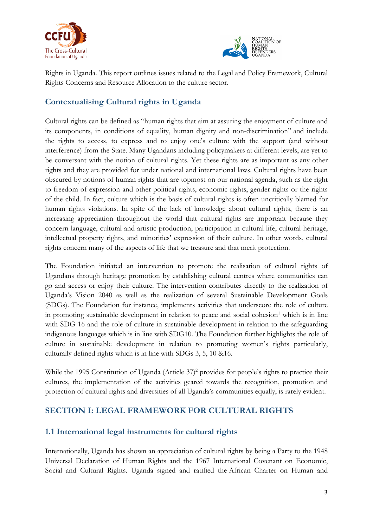



Rights in Uganda. This report outlines issues related to the Legal and Policy Framework, Cultural Rights Concerns and Resource Allocation to the culture sector.

## **Contextualising Cultural rights in Uganda**

Cultural rights can be defined as "human rights that aim at assuring the enjoyment of culture and its components, in conditions of equality, human dignity and non-discrimination" and include the rights to access, to express and to enjoy one'<sup>s</sup> culture with the support (and without interference) from the State. Many Ugandans including policymakers at different levels, are ye<sup>t</sup> to be conversant with the notion of cultural rights. Yet these rights are as important as any other rights and they are provided for under national and international laws. Cultural rights have been obscured by notions of human rights that are topmost on our national agenda, such as the right to freedom of expression and other political rights, economic rights, gender rights or the rights of the child. In fact, culture which is the basis of cultural rights is often uncritically blamed for human rights violations. In spite of the lack of knowledge about cultural rights, there is an increasing appreciation throughout the world that cultural rights are important because they concern language, cultural and artistic production, participation in cultural life, cultural heritage, intellectual property rights, and minorities' expression of their culture. In other words, cultural rights concern many of the aspects of life that we treasure and that merit protection.

The Foundation initiated an intervention to promote the realisation of cultural rights of Ugandans through heritage promotion by establishing cultural centres where communities can go and access or enjoy their culture. The intervention contributes directly to the realization of Uganda'<sup>s</sup> Vision 2040 as well as the realization of several Sustainable Development Goals (SDGs). The Foundation for instance, implements activities that underscore the role of culture in promoting sustainable development in relation to peace and social cohesion<sup>1</sup> which is in line with SDG 16 and the role of culture in sustainable development in relation to the safeguarding indigenous languages which is in line with SDG10. The Foundation further highlights the role of culture in sustainable development in relation to promoting women'<sup>s</sup> rights particularly, culturally defined rights which is in line with SDGs 3, 5, 10 &16.

While the 1995 Constitution of Uganda (Article 37) 2 provides for people'<sup>s</sup> rights to practice their cultures, the implementation of the activities geared towards the recognition, promotion and protection of cultural rights and diversities of all Uganda'<sup>s</sup> communities equally, is rarely evident.

## **SECTION I: LEGAL FRAMEWORK FOR CULTURAL RIGHTS**

## **1.1 International legal instruments for cultural rights**

Internationally, Uganda has shown an appreciation of cultural rights by being <sup>a</sup> Party to the 1948 Universal Declaration of Human Rights and the 1967 International Covenant on Economic, Social and Cultural Rights. Uganda signed and ratified the African Charter on Human and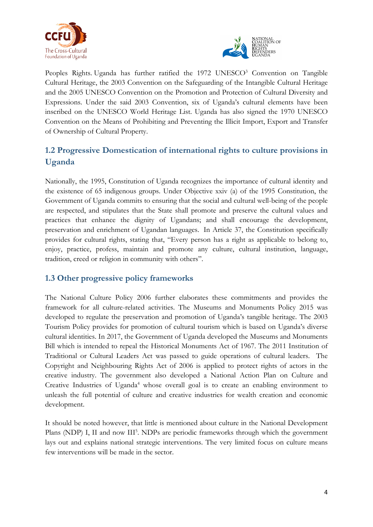



Peoples Rights Uganda has further ratified the 1972 UNESCO<sup>3</sup> Convention on Tangible Cultural Heritage, the 2003 Convention on the Safeguarding of the Intangible Cultural Heritage and the 2005 UNESCO Convention on the Promotion and Protection of Cultural Diversity and Expressions. Under the said 2003 Convention, six of Uganda'<sup>s</sup> cultural elements have been inscribed on the UNESCO World Heritage List. Uganda has also signed the 1970 UNESCO Convention on the Means of Prohibiting and Preventing the Illicit Import, Export and Transfer of Ownership of Cultural Property.

# **1.2 Progressive Domestication of international rights to culture provisions in Uganda**

Nationally, the 1995, Constitution of Uganda recognizes the importance of cultural identity and the existence of 65 indigenous groups. Under Objective xxiv (a) of the 1995 Constitution, the Government of Uganda commits to ensuring that the social and cultural well-being of the people are respected, and stipulates that the State shall promote and preserve the cultural values and practices that enhance the dignity of Ugandans; and shall encourage the development, preservation and enrichment of Ugandan languages. In Article 37, the Constitution specifically provides for cultural rights, stating that, "Every person has <sup>a</sup> right as applicable to belong to, enjoy, practice, profess, maintain and promote any culture, cultural institution, language, tradition, creed or religion in community with others".

## **1.3 Other progressive policy frameworks**

The National Culture Policy 2006 further elaborates these commitments and provides the framework for all culture-related activities. The Museums and Monuments Policy 2015 was developed to regulate the preservation and promotion of Uganda'<sup>s</sup> tangible heritage. The 2003 Tourism Policy provides for promotion of cultural tourism which is based on Uganda'<sup>s</sup> diverse cultural identities. In 2017, the Government of Uganda developed the Museums and Monuments Bill which is intended to repeal the Historical Monuments Act of 1967. The 2011 Institution of Traditional or Cultural Leaders Act was passed to guide operations of cultural leaders. The Copyright and Neighbouring Rights Act of 2006 is applied to protect rights of actors in the creative industry. The government also developed <sup>a</sup> National Action Plan on Culture and Creative Industries of Uganda 4 whose overall goal is to create an enabling environment to unleash the full potential of culture and creative industries for wealth creation and economic development.

It should be noted however, that little is mentioned about culture in the National Development Plans (NDP) I, II and now III<sup>5</sup>. NDPs are periodic frameworks through which the government lays out and explains national strategic interventions. The very limited focus on culture means few interventions will be made in the sector.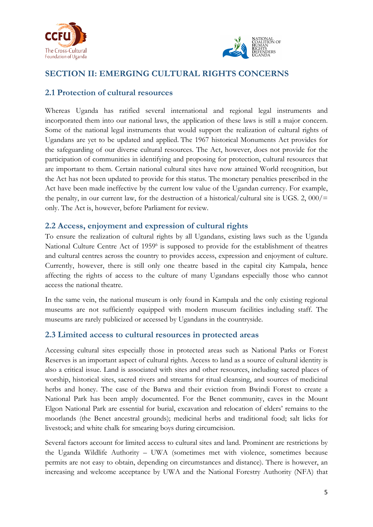



## **SECTION II: EMERGING CULTURAL RIGHTS CONCERNS**

#### **2.1 Protection of cultural resources**

Whereas Uganda has ratified several international and regional legal instruments and incorporated them into our national laws, the application of these laws is still <sup>a</sup> major concern. Some of the national legal instruments that would support the realization of cultural rights of Ugandans are ye<sup>t</sup> to be updated and applied. The 1967 historical Monuments Act provides for the safeguarding of our diverse cultural resources. The Act, however, does not provide for the participation of communities in identifying and proposing for protection, cultural resources that are important to them. Certain national cultural sites have now attained World recognition, but the Act has not been updated to provide for this status. The monetary penalties prescribed in the Act have been made ineffective by the current low value of the Ugandan currency. For example, the penalty, in our current law, for the destruction of a historical/cultural site is UGS. 2,  $000/$ = only. The Act is, however, before Parliament for review.

#### **2.2 Access, enjoyment and expression of cultural rights**

To ensure the realization of cultural rights by all Ugandans, existing laws such as the Uganda National Culture Centre Act of 1959<sup>6</sup> is supposed to provide for the establishment of theatres and cultural centres across the country to provides access, expression and enjoyment of culture. Currently, however, there is still only one theatre based in the capital city Kampala, hence affecting the rights of access to the culture of many Ugandans especially those who cannot access the national theatre.

In the same vein, the national museum is only found in Kampala and the only existing regional museums are not sufficiently equipped with modern museum facilities including staff. The museums are rarely publicized or accessed by Ugandans in the countryside.

#### **2.3 Limited access to cultural resources in protected areas**

Accessing cultural sites especially those in protected areas such as National Parks or Forest Reserves is an important aspect of cultural rights. Access to land as <sup>a</sup> source of cultural identity is also <sup>a</sup> critical issue. Land is associated with sites and other resources, including sacred places of worship, historical sites, sacred rivers and streams for ritual cleansing, and sources of medicinal herbs and honey. The case of the Batwa and their eviction from Bwindi Forest to create <sup>a</sup> National Park has been amply documented. For the Benet community, caves in the Mount Elgon National Park are essential for burial, excavation and relocation of elders' remains to the moorlands (the Benet ancestral grounds); medicinal herbs and traditional food; salt licks for livestock; and white chalk for smearing boys during circumcision.

Several factors account for limited access to cultural sites and land. Prominent are restrictions by the Uganda Wildlife Authority – UWA (sometimes met with violence, sometimes because permits are not easy to obtain, depending on circumstances and distance). There is however, an increasing and welcome acceptance by UWA and the National Forestry Authority (NFA) that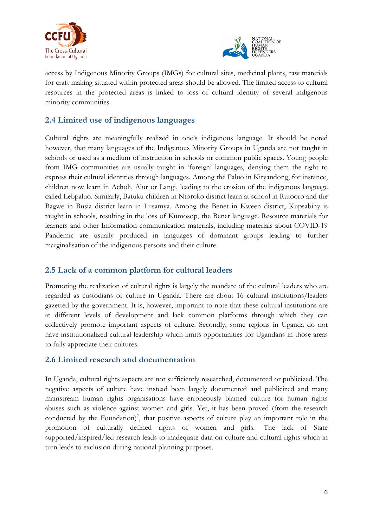



access by Indigenous Minority Groups (IMGs) for cultural sites, medicinal plants, raw materials for craft making situated within protected areas should be allowed. The limited access to cultural resources in the protected areas is linked to loss of cultural identity of several indigenous minority communities.

## **2.4 Limited use of indigenous languages**

Cultural rights are meaningfully realized in one'<sup>s</sup> indigenous language. It should be noted however, that many languages of the Indigenous Minority Groups in Uganda are not taught in schools or used as <sup>a</sup> medium of instruction in schools or common public spaces. Young people from IMG communities are usually taught in 'foreign' languages, denying them the right to express their cultural identities through languages. Among the Paluo in Kiryandong, for instance, children now learn in Acholi, Alur or Langi, leading to the erosion of the indigenous language called Lebpaluo. Similarly, Batuku children in Ntoroko district learn at school in Rutooro and the Bagwe in Busia district learn in Lusamya. Among the Benet in Kween district, Kupsabiny is taught in schools, resulting in the loss of Kumosop, the Benet language. Resource materials for learners and other Information communication materials, including materials about COVID-19 Pandemic are usually produced in languages of dominant groups leading to further marginalisation of the indigenous persons and their culture.

## **2.5 Lack of <sup>a</sup> common platform for cultural leaders**

Promoting the realization of cultural rights is largely the mandate of the cultural leaders who are regarded as custodians of culture in Uganda. There are about <sup>16</sup> cultural institutions/leaders gazetted by the government. It is, however, important to note that these cultural institutions are at different levels of development and lack common platforms through which they can collectively promote important aspects of culture. Secondly, some regions in Uganda do not have institutionalized cultural leadership which limits opportunities for Ugandans in those areas to fully appreciate their cultures.

#### **2.6 Limited research and documentation**

In Uganda, cultural rights aspects are not sufficiently researched, documented or publicized. The negative aspects of culture have instead been largely documented and publicized and many mainstream human rights organisations have erroneously blamed culture for human rights abuses such as violence against women and girls. Yet, it has been proved (from the research conducted by the Foundation) 7 , that positive aspects of culture play an important role in the promotion of culturally defined rights of women and girls. The lack of State supported/inspired/led research leads to inadequate data on culture and cultural rights which in turn leads to exclusion during national planning purposes.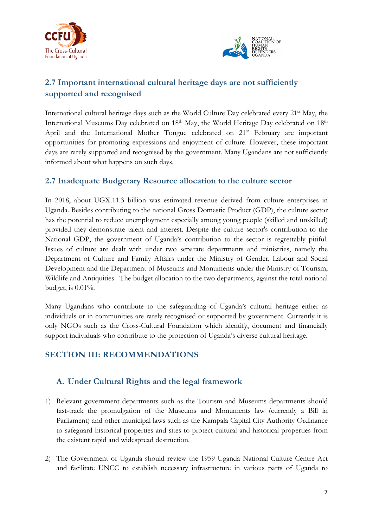



# **2.7 Important international cultural heritage days are not sufficiently supported and recognised**

International cultural heritage days such as the World Culture Day celebrated every 21<sup>st</sup> May, the International Museums Day celebrated on 18<sup>th</sup> May, the World Heritage Day celebrated on 18<sup>th</sup> April and the International Mother Tongue celebrated on <sup>21</sup>st February are important opportunities for promoting expressions and enjoyment of culture. However, these important days are rarely supported and recognised by the government. Many Ugandans are not sufficiently informed about what happens on such days.

### **2.7 Inadequate Budgetary Resource allocation to the culture sector**

In 2018, about UGX.11.3 billion was estimated revenue derived from culture enterprises in Uganda. Besides contributing to the national Gross Domestic Product (GDP), the culture sector has the potential to reduce unemployment especially among young people (skilled and unskilled) provided they demonstrate talent and interest. Despite the culture sector's contribution to the National GDP, the government of Uganda'<sup>s</sup> contribution to the sector is regrettably pitiful. Issues of culture are dealt with under two separate departments and ministries, namely the Department of Culture and Family Affairs under the Ministry of Gender, Labour and Social Development and the Department of Museums and Monuments under the Ministry of Tourism, Wildlife and Antiquities. The budget allocation to the two departments, against the total national budget, is 0.01%.

Many Ugandans who contribute to the safeguarding of Uganda'<sup>s</sup> cultural heritage either as individuals or in communities are rarely recognised or supported by government. Currently it is only NGOs such as the Cross-Cultural Foundation which identify, document and financially support individuals who contribute to the protection of Uganda'<sup>s</sup> diverse cultural heritage.

## **SECTION III: RECOMMENDATIONS**

#### **A. Under Cultural Rights and the legal framework**

- 1) Relevant government departments such as the Tourism and Museums departments should fast-track the promulgation of the Museums and Monuments law (currently <sup>a</sup> Bill in Parliament) and other municipal laws such as the Kampala Capital City Authority Ordinance to safeguard historical properties and sites to protect cultural and historical properties from the existent rapid and widespread destruction.
- 2) The Government of Uganda should review the 1959 Uganda National Culture Centre Act and facilitate UNCC to establish necessary infrastructure in various parts of Uganda to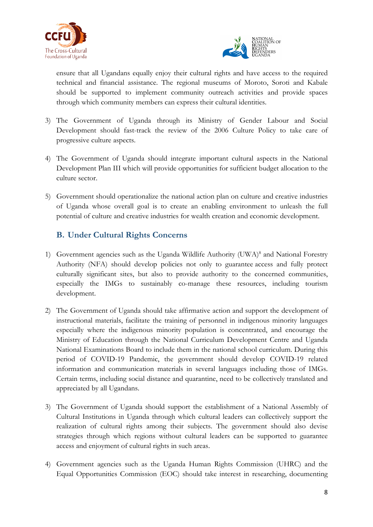



ensure that all Ugandans equally enjoy their cultural rights and have access to the required technical and financial assistance. The regional museums of Moroto, Soroti and Kabale should be supported to implement community outreach activities and provide spaces through which community members can express their cultural identities.

- 3) The Government of Uganda through its Ministry of Gender Labour and Social Development should fast-track the review of the 2006 Culture Policy to take care of progressive culture aspects.
- 4) The Government of Uganda should integrate important cultural aspects in the National Development Plan III which will provide opportunities for sufficient budget allocation to the culture sector.
- 5) Government should operationalize the national action plan on culture and creative industries of Uganda whose overall goal is to create an enabling environment to unleash the full potential of culture and creative industries for wealth creation and economic development.

## **B. Under Cultural Rights Concerns**

- 1) Government agencies such as the Uganda Wildlife Authority (UWA) 8 and National Forestry Authority (NFA) should develop policies not only to guarantee access and fully protect culturally significant sites, but also to provide authority to the concerned communities, especially the IMGs to sustainably co-manage these resources, including tourism development.
- 2) The Government of Uganda should take affirmative action and support the development of instructional materials, facilitate the training of personnel in indigenous minority languages especially where the indigenous minority population is concentrated, and encourage the Ministry of Education through the National Curriculum Development Centre and Uganda National Examinations Board to include them in the national school curriculum. During this period of COVID-19 Pandemic, the government should develop COVID-19 related information and communication materials in several languages including those of IMGs. Certain terms, including social distance and quarantine, need to be collectively translated and appreciated by all Ugandans.
- 3) The Government of Uganda should support the establishment of <sup>a</sup> National Assembly of Cultural Institutions in Uganda through which cultural leaders can collectively support the realization of cultural rights among their subjects. The government should also devise strategies through which regions without cultural leaders can be supported to guarantee access and enjoyment of cultural rights in such areas.
- 4) Government agencies such as the Uganda Human Rights Commission (UHRC) and the Equal Opportunities Commission (EOC) should take interest in researching, documenting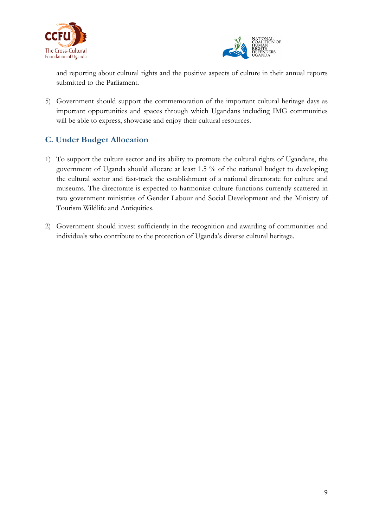



and reporting about cultural rights and the positive aspects of culture in their annual reports submitted to the Parliament.

5) Government should support the commemoration of the important cultural heritage days as important opportunities and spaces through which Ugandans including IMG communities will be able to express, showcase and enjoy their cultural resources.

## **C. Under Budget Allocation**

- 1) To support the culture sector and its ability to promote the cultural rights of Ugandans, the government of Uganda should allocate at least 1.5 % of the national budget to developing the cultural sector and fast-track the establishment of <sup>a</sup> national directorate for culture and museums. The directorate is expected to harmonize culture functions currently scattered in two government ministries of Gender Labour and Social Development and the Ministry of Tourism Wildlife and Antiquities.
- 2) Government should invest sufficiently in the recognition and awarding of communities and individuals who contribute to the protection of Uganda'<sup>s</sup> diverse cultural heritage.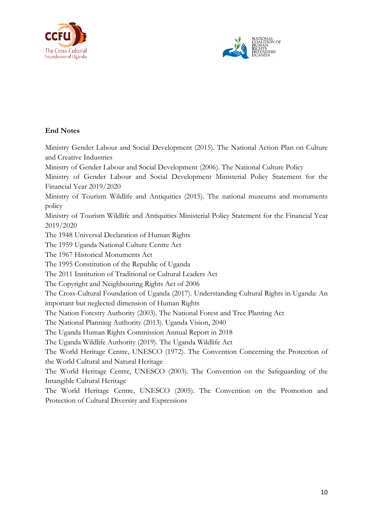



#### **End Notes**

Ministry Gender Labour and Social Development (2015). The National Action Plan on Culture and Creative Industries

Ministry of Gender Labour and Social Development (2006). The National Culture Policy

Ministry of Gender Labour and Social Development Ministerial Policy Statement for the Financial Year 2019/2020

Ministry of Tourism Wildlife and Antiquities (2015). The national museums and monuments policy

Ministry of Tourism Wildlife and Antiquities Ministerial Policy Statement for the Financial Year 2019/2020

The 1948 Universal Declaration of Human Rights

The 1959 Uganda National Culture Centre Act

The 1967 Historical Monuments Act

The 1995 Constitution of the Republic of Uganda

The 2011 Institution of Traditional or Cultural Leaders Act

The Copyright and Neighbouring Rights Act of 2006

The Cross-Cultural Foundation of Uganda (2017). Understanding Cultural Rights in Uganda: An important but neglected dimension of Human Rights

The Nation Forestry Authority (2003). The National Forest and Tree Planting Act

The National Planning Authority (2013). Uganda Vision, 2040

The Uganda Human Rights Commission Annual Report in 2018

The Uganda Wildlife Authority (2019). The Uganda Wildlife Act

The World Heritage Centre, UNESCO (1972). The Convention Concerning the Protection of the World Cultural and Natural Heritage

The World Heritage Centre, UNESCO (2003). The Convention on the Safeguarding of the Intangible Cultural Heritage

The World Heritage Centre, UNESCO (2005). The Convention on the Promotion and Protection of Cultural Diversity and Expressions